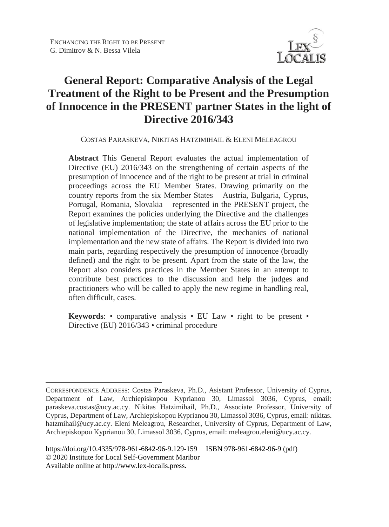

# **General Report: Comparative Analysis of the Legal Treatment of the Right to be Present and the Presumption of Innocence in the PRESENT partner States in the light of Directive 2016/343**

COSTAS PARASKEVA, NIKITAS HATZIMIHAIL & ELENI MELEAGROU

**Abstract** This General Report evaluates the actual implementation of Directive (EU) 2016/343 on the strengthening of certain aspects of the presumption of innocence and of the right to be present at trial in criminal proceedings across the EU Member States. Drawing primarily on the country reports from the six Member States – Austria, Bulgaria, Cyprus, Portugal, Romania, Slovakia – represented in the PRESENT project, the Report examines the policies underlying the Directive and the challenges of legislative implementation; the state of affairs across the EU prior to the national implementation of the Directive, the mechanics of national implementation and the new state of affairs. The Report is divided into two main parts, regarding respectively the presumption of innocence (broadly defined) and the right to be present. Apart from the state of the law, the Report also considers practices in the Member States in an attempt to contribute best practices to the discussion and help the judges and practitioners who will be called to apply the new regime in handling real, often difficult, cases.

**Keywords**: • comparative analysis • EU Law • right to be present • Directive (EU) 2016/343 • criminal procedure

 $\overline{a}$ CORRESPONDENCE ADDRESS: Costas Paraskeva, Ph.D., Asistant Professor, University of Cyprus, Department of Law, Archiepiskopou Kyprianou 30, Limassol 3036, Cyprus, email: paraskeva.costas@ucy.ac.cy. Nikitas Hatzimihail, Ph.D., Associate Professor, University of Cyprus, Department of Law, Archiepiskopou Kyprianou 30, Limassol 3036, Cyprus, email: nikitas. hatzmihail@ucy.ac.cy. Eleni Meleagrou, Researcher, University of Cyprus, Department of Law, Archiepiskopou Kyprianou 30, Limassol 3036, Cyprus, email: meleagrou.eleni@ucy.ac.cy.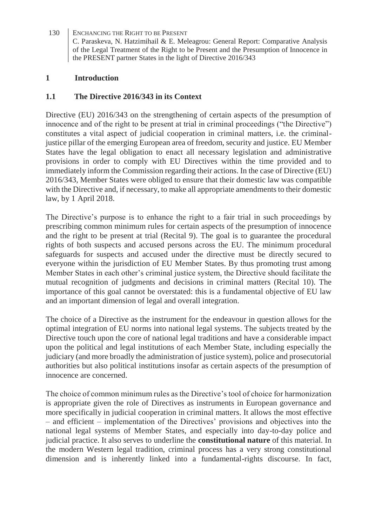#### **1 Introduction**

#### **1.1 The Directive 2016/343 in its Context**

Directive (EU) 2016/343 on the strengthening of certain aspects of the presumption of innocence and of the right to be present at trial in criminal proceedings ("the Directive") constitutes a vital aspect of judicial cooperation in criminal matters, i.e. the criminaljustice pillar of the emerging European area of freedom, security and justice. EU Member States have the legal obligation to enact all necessary legislation and administrative provisions in order to comply with EU Directives within the time provided and to immediately inform the Commission regarding their actions. In the case of Directive (EU) 2016/343, Member States were obliged to ensure that their domestic law was compatible with the Directive and, if necessary, to make all appropriate amendments to their domestic law, by 1 April 2018.

The Directive's purpose is to enhance the right to a fair trial in such proceedings by prescribing common minimum rules for certain aspects of the presumption of innocence and the right to be present at trial (Recital 9). The goal is to guarantee the procedural rights of both suspects and accused persons across the EU. The minimum procedural safeguards for suspects and accused under the directive must be directly secured to everyone within the jurisdiction of EU Member States. By thus promoting trust among Member States in each other's criminal justice system, the Directive should facilitate the mutual recognition of judgments and decisions in criminal matters (Recital 10). The importance of this goal cannot be overstated: this is a fundamental objective of EU law and an important dimension of legal and overall integration.

The choice of a Directive as the instrument for the endeavour in question allows for the optimal integration of EU norms into national legal systems. The subjects treated by the Directive touch upon the core of national legal traditions and have a considerable impact upon the political and legal institutions of each Member State, including especially the judiciary (and more broadly the administration of justice system), police and prosecutorial authorities but also political institutions insofar as certain aspects of the presumption of innocence are concerned.

The choice of common minimum rules as the Directive's tool of choice for harmonization is appropriate given the role of Directives as instruments in European governance and more specifically in judicial cooperation in criminal matters. It allows the most effective – and efficient – implementation of the Directives' provisions and objectives into the national legal systems of Member States, and especially into day-to-day police and judicial practice. It also serves to underline the **constitutional nature** of this material. In the modern Western legal tradition, criminal process has a very strong constitutional dimension and is inherently linked into a fundamental-rights discourse. In fact,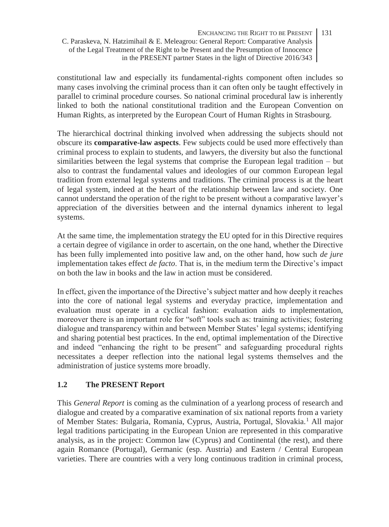constitutional law and especially its fundamental-rights component often includes so many cases involving the criminal process than it can often only be taught effectively in parallel to criminal procedure courses. So national criminal procedural law is inherently linked to both the national constitutional tradition and the European Convention on Human Rights, as interpreted by the European Court of Human Rights in Strasbourg.

The hierarchical doctrinal thinking involved when addressing the subjects should not obscure its **comparative-law aspects**. Few subjects could be used more effectively than criminal process to explain to students, and lawyers, the diversity but also the functional similarities between the legal systems that comprise the European legal tradition – but also to contrast the fundamental values and ideologies of our common European legal tradition from external legal systems and traditions. The criminal process is at the heart of legal system, indeed at the heart of the relationship between law and society. One cannot understand the operation of the right to be present without a comparative lawyer's appreciation of the diversities between and the internal dynamics inherent to legal systems.

At the same time, the implementation strategy the EU opted for in this Directive requires a certain degree of vigilance in order to ascertain, on the one hand, whether the Directive has been fully implemented into positive law and, on the other hand, how such *de jure* implementation takes effect *de facto*. That is, in the medium term the Directive's impact on both the law in books and the law in action must be considered.

In effect, given the importance of the Directive's subject matter and how deeply it reaches into the core of national legal systems and everyday practice, implementation and evaluation must operate in a cyclical fashion: evaluation aids to implementation, moreover there is an important role for "soft" tools such as: training activities; fostering dialogue and transparency within and between Member States' legal systems; identifying and sharing potential best practices. In the end, optimal implementation of the Directive and indeed "enhancing the right to be present" and safeguarding procedural rights necessitates a deeper reflection into the national legal systems themselves and the administration of justice systems more broadly.

### **1.2 The PRESENT Report**

This *General Report* is coming as the culmination of a yearlong process of research and dialogue and created by a comparative examination of six national reports from a variety of Member States: Bulgaria, Romania, Cyprus, Austria, Portugal, Slovakia.<sup>1</sup> All major legal traditions participating in the European Union are represented in this comparative analysis, as in the project: Common law (Cyprus) and Continental (the rest), and there again Romance (Portugal), Germanic (esp. Austria) and Eastern / Central European varieties. There are countries with a very long continuous tradition in criminal process,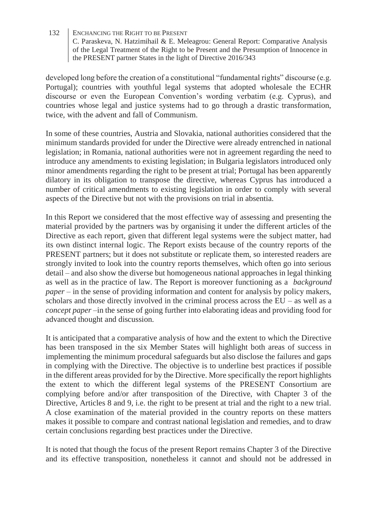developed long before the creation of a constitutional "fundamental rights" discourse (e.g. Portugal); countries with youthful legal systems that adopted wholesale the ECHR discourse or even the European Convention's wording verbatim (e.g. Cyprus), and countries whose legal and justice systems had to go through a drastic transformation, twice, with the advent and fall of Communism.

In some of these countries, Austria and Slovakia, national authorities considered that the minimum standards provided for under the Directive were already entrenched in national legislation; in Romania, national authorities were not in agreement regarding the need to introduce any amendments to existing legislation; in Bulgaria legislators introduced only minor amendments regarding the right to be present at trial; Portugal has been apparently dilatory in its obligation to transpose the directive, whereas Cyprus has introduced a number of critical amendments to existing legislation in order to comply with several aspects of the Directive but not with the provisions on trial in absentia.

In this Report we considered that the most effective way of assessing and presenting the material provided by the partners was by organising it under the different articles of the Directive as each report, given that different legal systems were the subject matter, had its own distinct internal logic. The Report exists because of the country reports of the PRESENT partners; but it does not substitute or replicate them, so interested readers are strongly invited to look into the country reports themselves, which often go into serious detail – and also show the diverse but homogeneous national approaches in legal thinking as well as in the practice of law. The Report is moreover functioning as a *background paper* – in the sense of providing information and content for analysis by policy makers, scholars and those directly involved in the criminal process across the  $EU -$  as well as a *concept paper* –in the sense of going further into elaborating ideas and providing food for advanced thought and discussion.

It is anticipated that a comparative analysis of how and the extent to which the Directive has been transposed in the six Member States will highlight both areas of success in implementing the minimum procedural safeguards but also disclose the failures and gaps in complying with the Directive. The objective is to underline best practices if possible in the different areas provided for by the Directive. More specifically the report highlights the extent to which the different legal systems of the PRESENT Consortium are complying before and/or after transposition of the Directive, with Chapter 3 of the Directive, Articles 8 and 9, i.e. the right to be present at trial and the right to a new trial. A close examination of the material provided in the country reports on these matters makes it possible to compare and contrast national legislation and remedies, and to draw certain conclusions regarding best practices under the Directive.

It is noted that though the focus of the present Report remains Chapter 3 of the Directive and its effective transposition, nonetheless it cannot and should not be addressed in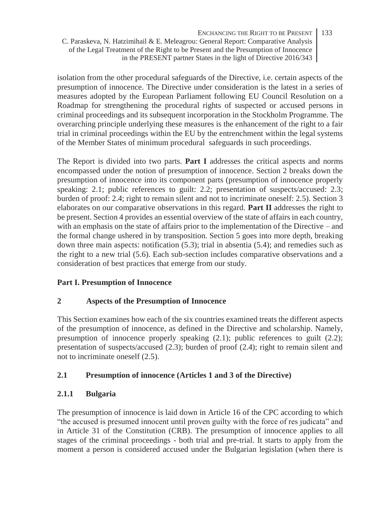isolation from the other procedural safeguards of the Directive, i.e. certain aspects of the presumption of innocence. The Directive under consideration is the latest in a series of measures adopted by the European Parliament following EU Council Resolution on a Roadmap for strengthening the procedural rights of suspected or accused persons in criminal proceedings and its subsequent incorporation in the Stockholm Programme. The overarching principle underlying these measures is the enhancement of the right to a fair trial in criminal proceedings within the EU by the entrenchment within the legal systems of the Member States of minimum procedural safeguards in such proceedings.

The Report is divided into two parts. **Part I** addresses the critical aspects and norms encompassed under the notion of presumption of innocence. Section 2 breaks down the presumption of innocence into its component parts (presumption of innocence properly speaking: 2.1; public references to guilt: 2.2; presentation of suspects/accused: 2.3; burden of proof: 2.4; right to remain silent and not to incriminate oneself: 2.5). Section 3 elaborates on our comparative observations in this regard. **Part II** addresses the right to be present. Section 4 provides an essential overview of the state of affairs in each country, with an emphasis on the state of affairs prior to the implementation of the Directive – and the formal change ushered in by transposition. Section 5 goes into more depth, breaking down three main aspects: notification (5.3); trial in absentia (5.4); and remedies such as the right to a new trial (5.6). Each sub-section includes comparative observations and a consideration of best practices that emerge from our study.

### **Part I. Presumption of Innocence**

#### **2 Aspects of the Presumption of Innocence**

This Section examines how each of the six countries examined treats the different aspects of the presumption of innocence, as defined in the Directive and scholarship. Namely, presumption of innocence properly speaking (2.1); public references to guilt (2.2); presentation of suspects/accused (2.3); burden of proof (2.4); right to remain silent and not to incriminate oneself (2.5).

### **2.1 Presumption of innocence (Articles 1 and 3 of the Directive)**

#### **2.1.1 Bulgaria**

The presumption of innocence is laid down in Article 16 of the CPC according to which "the accused is presumed innocent until proven guilty with the force of res judicata" and in Article 31 of the Constitution (CRB). The presumption of innocence applies to all stages of the criminal proceedings - both trial and pre-trial. It starts to apply from the moment a person is considered accused under the Bulgarian legislation (when there is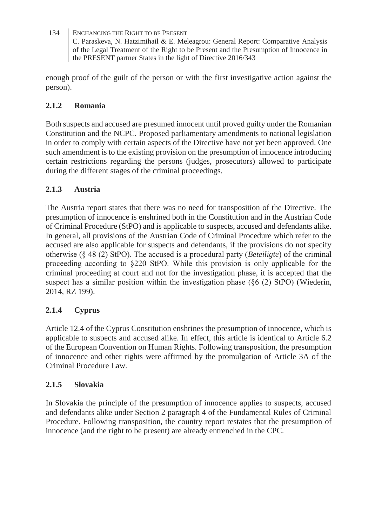enough proof of the guilt of the person or with the first investigative action against the person).

### **2.1.2 Romania**

Both suspects and accused are presumed innocent until proved guilty under the Romanian Constitution and the NCPC. Proposed parliamentary amendments to national legislation in order to comply with certain aspects of the Directive have not yet been approved. One such amendment is to the existing provision on the presumption of innocence introducing certain restrictions regarding the persons (judges, prosecutors) allowed to participate during the different stages of the criminal proceedings.

### **2.1.3 Austria**

The Austria report states that there was no need for transposition of the Directive. The presumption of innocence is enshrined both in the Constitution and in the Austrian Code of Criminal Procedure (StPO) and is applicable to suspects, accused and defendants alike. In general, all provisions of the Austrian Code of Criminal Procedure which refer to the accused are also applicable for suspects and defendants, if the provisions do not specify otherwise (§ 48 (2) StPO). The accused is a procedural party (*Beteiligte*) of the criminal proceeding according to §220 StPO. While this provision is only applicable for the criminal proceeding at court and not for the investigation phase, it is accepted that the suspect has a similar position within the investigation phase (§6 (2) StPO) (Wiederin, 2014, RZ 199).

### **2.1.4 Cyprus**

Article 12.4 of the Cyprus Constitution enshrines the presumption of innocence, which is applicable to suspects and accused alike. In effect, this article is identical to Article 6.2 of the European Convention on Human Rights. Following transposition, the presumption of innocence and other rights were affirmed by the promulgation of Article 3A of the Criminal Procedure Law.

#### **2.1.5 Slovakia**

In Slovakia the principle of the presumption of innocence applies to suspects, accused and defendants alike under Section 2 paragraph 4 of the Fundamental Rules of Criminal Procedure. Following transposition, the country report restates that the presumption of innocence (and the right to be present) are already entrenched in the CPC.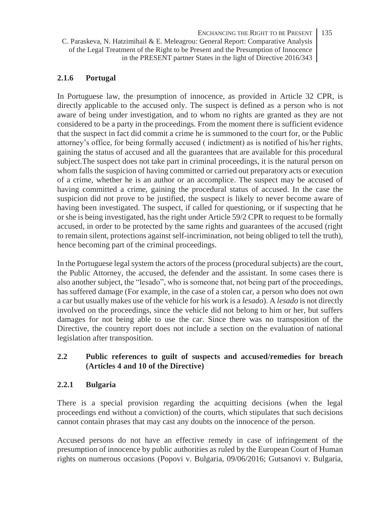### **2.1.6 Portugal**

In Portuguese law, the presumption of innocence, as provided in Article 32 CPR, is directly applicable to the accused only. The suspect is defined as a person who is not aware of being under investigation, and to whom no rights are granted as they are not considered to be a party in the proceedings. From the moment there is sufficient evidence that the suspect in fact did commit a crime he is summoned to the court for, or the Public attorney's office, for being formally accused ( indictment) as is notified of his/her rights, gaining the status of accused and all the guarantees that are available for this procedural subject.The suspect does not take part in criminal proceedings, it is the natural person on whom falls the suspicion of having committed or carried out preparatory acts or execution of a crime, whether he is an author or an accomplice. The suspect may be accused of having committed a crime, gaining the procedural status of accused. In the case the suspicion did not prove to be justified, the suspect is likely to never become aware of having been investigated. The suspect, if called for questioning, or if suspecting that he or she is being investigated, has the right under Article 59/2 CPR to request to be formally accused, in order to be protected by the same rights and guarantees of the accused (right to remain silent, protections against self-incrimination, not being obliged to tell the truth), hence becoming part of the criminal proceedings.

In the Portuguese legal system the actors of the process (procedural subjects) are the court, the Public Attorney, the accused, the defender and the assistant. In some cases there is also another subject, the "lesado", who is someone that, not being part of the proceedings, has suffered damage (For example, in the case of a stolen car, a person who does not own a car but usually makes use of the vehicle for his work is a *lesado*). A *lesado* is not directly involved on the proceedings, since the vehicle did not belong to him or her, but suffers damages for not being able to use the car. Since there was no transposition of the Directive, the country report does not include a section on the evaluation of national legislation after transposition.

### **2.2 Public references to guilt of suspects and accused/remedies for breach (Articles 4 and 10 of the Directive)**

#### **2.2.1 Bulgaria**

There is a special provision regarding the acquitting decisions (when the legal proceedings end without a conviction) of the courts, which stipulates that such decisions cannot contain phrases that may cast any doubts on the innocence of the person.

Accused persons do not have an effective remedy in case of infringement of the presumption of innocence by public authorities as ruled by the European Court of Human rights on numerous occasions (Popovi v. Bulgaria, 09/06/2016; Gutsanovi v. Bulgaria,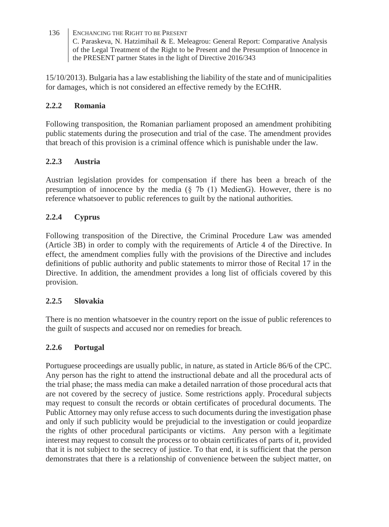15/10/2013). Bulgaria has a law establishing the liability of the state and of municipalities for damages, which is not considered an effective remedy by the ECtHR.

#### **2.2.2 Romania**

Following transposition, the Romanian parliament proposed an amendment prohibiting public statements during the prosecution and trial of the case. The amendment provides that breach of this provision is a criminal offence which is punishable under the law.

### **2.2.3 Austria**

Austrian legislation provides for compensation if there has been a breach of the presumption of innocence by the media (§ 7b (1) MedienG). However, there is no reference whatsoever to public references to guilt by the national authorities.

### **2.2.4 Cyprus**

Following transposition of the Directive, the Criminal Procedure Law was amended (Article 3B) in order to comply with the requirements of Article 4 of the Directive. In effect, the amendment complies fully with the provisions of the Directive and includes definitions of public authority and public statements to mirror those of Recital 17 in the Directive. In addition, the amendment provides a long list of officials covered by this provision.

#### **2.2.5 Slovakia**

There is no mention whatsoever in the country report on the issue of public references to the guilt of suspects and accused nor on remedies for breach.

### **2.2.6 Portugal**

Portuguese proceedings are usually public, in nature, as stated in Article 86/6 of the CPC. Any person has the right to attend the instructional debate and all the procedural acts of the trial phase; the mass media can make a detailed narration of those procedural acts that are not covered by the secrecy of justice. Some restrictions apply. Procedural subjects may request to consult the records or obtain certificates of procedural documents. The Public Attorney may only refuse access to such documents during the investigation phase and only if such publicity would be prejudicial to the investigation or could jeopardize the rights of other procedural participants or victims. Any person with a legitimate interest may request to consult the process or to obtain certificates of parts of it, provided that it is not subject to the secrecy of justice. To that end, it is sufficient that the person demonstrates that there is a relationship of convenience between the subject matter, on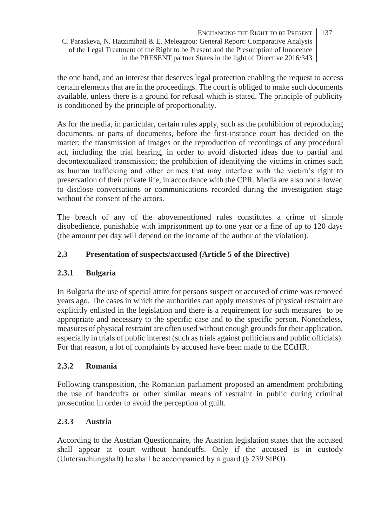the one hand, and an interest that deserves legal protection enabling the request to access certain elements that are in the proceedings. The court is obliged to make such documents available, unless there is a ground for refusal which is stated. The principle of publicity is conditioned by the principle of proportionality.

As for the media, in particular, certain rules apply, such as the prohibition of reproducing documents, or parts of documents, before the first-instance court has decided on the matter; the transmission of images or the reproduction of recordings of any procedural act, including the trial hearing, in order to avoid distorted ideas due to partial and decontextualized transmission; the prohibition of identifying the victims in crimes such as human trafficking and other crimes that may interfere with the victim's right to preservation of their private life, in accordance with the CPR. Media are also not allowed to disclose conversations or communications recorded during the investigation stage without the consent of the actors.

The breach of any of the abovementioned rules constitutes a crime of simple disobedience, punishable with imprisonment up to one year or a fine of up to 120 days (the amount per day will depend on the income of the author of the violation).

### **2.3 Presentation of suspects/accused (Article 5 of the Directive)**

### **2.3.1 Bulgaria**

In Bulgaria the use of special attire for persons suspect or accused of crime was removed years ago. The cases in which the authorities can apply measures of physical restraint are explicitly enlisted in the legislation and there is a requirement for such measures to be appropriate and necessary to the specific case and to the specific person. Nonetheless, measures of physical restraint are often used without enough grounds for their application, especially in trials of public interest (such as trials against politicians and public officials). For that reason, a lot of complaints by accused have been made to the ECtHR.

### **2.3.2 Romania**

Following transposition, the Romanian parliament proposed an amendment prohibiting the use of handcuffs or other similar means of restraint in public during criminal prosecution in order to avoid the perception of guilt.

#### **2.3.3 Austria**

According to the Austrian Questionnaire, the Austrian legislation states that the accused shall appear at court without handcuffs. Only if the accused is in custody (Untersuchungshaft) he shall be accompanied by a guard (§ 239 StPO).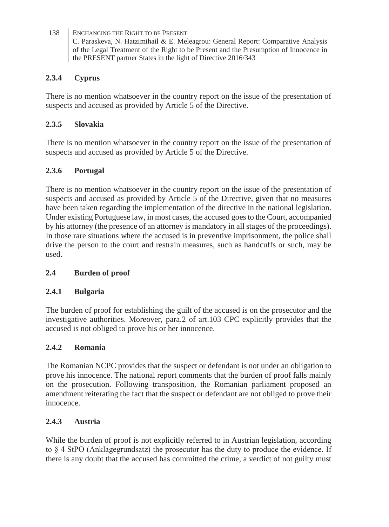### **2.3.4 Cyprus**

There is no mention whatsoever in the country report on the issue of the presentation of suspects and accused as provided by Article 5 of the Directive.

### **2.3.5 Slovakia**

There is no mention whatsoever in the country report on the issue of the presentation of suspects and accused as provided by Article 5 of the Directive.

# **2.3.6 Portugal**

There is no mention whatsoever in the country report on the issue of the presentation of suspects and accused as provided by Article 5 of the Directive, given that no measures have been taken regarding the implementation of the directive in the national legislation. Under existing Portuguese law, in most cases, the accused goes to the Court, accompanied by his attorney (the presence of an attorney is mandatory in all stages of the proceedings). In those rare situations where the accused is in preventive imprisonment, the police shall drive the person to the court and restrain measures, such as handcuffs or such, may be used.

### **2.4 Burden of proof**

#### **2.4.1 Bulgaria**

The burden of proof for establishing the guilt of the accused is on the prosecutor and the investigative authorities. Moreover, para.2 of art.103 CPC explicitly provides that the accused is not obliged to prove his or her innocence.

### **2.4.2 Romania**

The Romanian NCPC provides that the suspect or defendant is not under an obligation to prove his innocence. The national report comments that the burden of proof falls mainly on the prosecution. Following transposition, the Romanian parliament proposed an amendment reiterating the fact that the suspect or defendant are not obliged to prove their innocence.

#### **2.4.3 Austria**

While the burden of proof is not explicitly referred to in Austrian legislation, according to § 4 StPO (Anklagegrundsatz) the prosecutor has the duty to produce the evidence. If there is any doubt that the accused has committed the crime, a verdict of not guilty must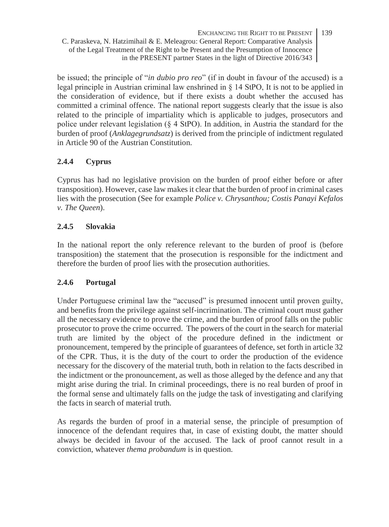be issued; the principle of "*in dubio pro reo*" (if in doubt in favour of the accused) is a legal principle in Austrian criminal law enshrined in § 14 StPO, It is not to be applied in the consideration of evidence, but if there exists a doubt whether the accused has committed a criminal offence. The national report suggests clearly that the issue is also related to the principle of impartiality which is applicable to judges, prosecutors and police under relevant legislation (§ 4 StPO). In addition, in Austria the standard for the burden of proof (*Anklagegrundsatz*) is derived from the principle of indictment regulated in Article 90 of the Austrian Constitution.

### **2.4.4 Cyprus**

Cyprus has had no legislative provision on the burden of proof either before or after transposition). However, case law makes it clear that the burden of proof in criminal cases lies with the prosecution (See for example *Police v. Chrysanthou; Costis Panayi Kefalos v. The Queen*).

### **2.4.5 Slovakia**

In the national report the only reference relevant to the burden of proof is (before transposition) the statement that the prosecution is responsible for the indictment and therefore the burden of proof lies with the prosecution authorities.

### **2.4.6 Portugal**

Under Portuguese criminal law the "accused" is presumed innocent until proven guilty, and benefits from the privilege against self-incrimination. The criminal court must gather all the necessary evidence to prove the crime, and the burden of proof falls on the public prosecutor to prove the crime occurred. The powers of the court in the search for material truth are limited by the object of the procedure defined in the indictment or pronouncement, tempered by the principle of guarantees of defence, set forth in article 32 of the CPR. Thus, it is the duty of the court to order the production of the evidence necessary for the discovery of the material truth, both in relation to the facts described in the indictment or the pronouncement, as well as those alleged by the defence and any that might arise during the trial. In criminal proceedings, there is no real burden of proof in the formal sense and ultimately falls on the judge the task of investigating and clarifying the facts in search of material truth.

As regards the burden of proof in a material sense, the principle of presumption of innocence of the defendant requires that, in case of existing doubt, the matter should always be decided in favour of the accused. The lack of proof cannot result in a conviction, whatever *thema probandum* is in question.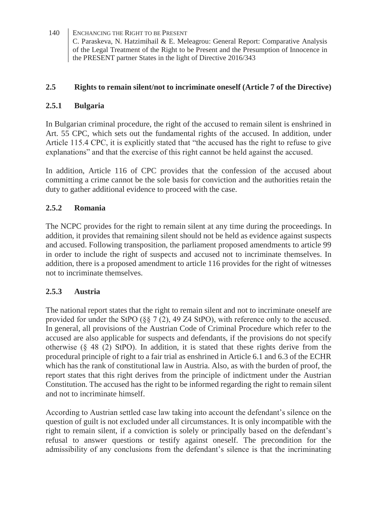#### **2.5 Rights to remain silent/not to incriminate oneself (Article 7 of the Directive)**

#### **2.5.1 Bulgaria**

In Bulgarian criminal procedure, the right of the accused to remain silent is enshrined in Art. 55 CPC, which sets out the fundamental rights of the accused. In addition, under Article 115.4 CPC, it is explicitly stated that "the accused has the right to refuse to give explanations" and that the exercise of this right cannot be held against the accused.

In addition, Article 116 of CPC provides that the confession of the accused about committing a crime cannot be the sole basis for conviction and the authorities retain the duty to gather additional evidence to proceed with the case.

#### **2.5.2 Romania**

The NCPC provides for the right to remain silent at any time during the proceedings. In addition, it provides that remaining silent should not be held as evidence against suspects and accused. Following transposition, the parliament proposed amendments to article 99 in order to include the right of suspects and accused not to incriminate themselves. In addition, there is a proposed amendment to article 116 provides for the right of witnesses not to incriminate themselves.

#### **2.5.3 Austria**

The national report states that the right to remain silent and not to incriminate oneself are provided for under the StPO  $(\S \S 7(2), 49\text{ Z4 StPO})$ , with reference only to the accused. In general, all provisions of the Austrian Code of Criminal Procedure which refer to the accused are also applicable for suspects and defendants, if the provisions do not specify otherwise  $(§ 48 (2)$  StPO). In addition, it is stated that these rights derive from the procedural principle of right to a fair trial as enshrined in Article 6.1 and 6.3 of the ECHR which has the rank of constitutional law in Austria. Also, as with the burden of proof, the report states that this right derives from the principle of indictment under the Austrian Constitution. The accused has the right to be informed regarding the right to remain silent and not to incriminate himself.

According to Austrian settled case law taking into account the defendant's silence on the question of guilt is not excluded under all circumstances. It is only incompatible with the right to remain silent, if a conviction is solely or principally based on the defendant's refusal to answer questions or testify against oneself. The precondition for the admissibility of any conclusions from the defendant's silence is that the incriminating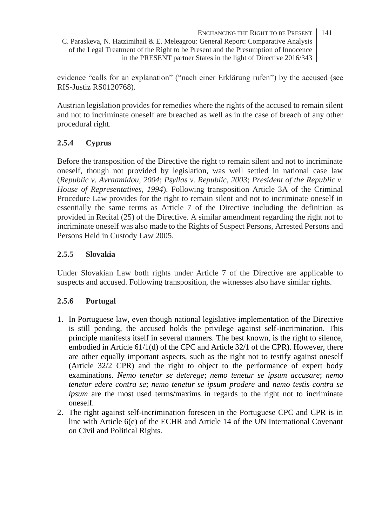ENCHANCING THE RIGHT TO BE PRESENT 141

C. Paraskeva, N. Hatzimihail & E. Meleagrou: General Report: Comparative Analysis of the Legal Treatment of the Right to be Present and the Presumption of Innocence in the PRESENT partner States in the light of Directive 2016/343

evidence "calls for an explanation" ("nach einer Erklärung rufen") by the accused (see RIS-Justiz RS0120768).

Austrian legislation provides for remedies where the rights of the accused to remain silent and not to incriminate oneself are breached as well as in the case of breach of any other procedural right.

# **2.5.4 Cyprus**

Before the transposition of the Directive the right to remain silent and not to incriminate oneself, though not provided by legislation, was well settled in national case law (*Republic v. Avraamidou, 2004*; *Psyllas v. Republic, 2003*; *President of the Republic v. House of Representatives, 1994*). Following transposition Article 3A of the Criminal Procedure Law provides for the right to remain silent and not to incriminate oneself in essentially the same terms as Article 7 of the Directive including the definition as provided in Recital (25) of the Directive. A similar amendment regarding the right not to incriminate oneself was also made to the Rights of Suspect Persons, Arrested Persons and Persons Held in Custody Law 2005.

### **2.5.5 Slovakia**

Under Slovakian Law both rights under Article 7 of the Directive are applicable to suspects and accused. Following transposition, the witnesses also have similar rights.

### **2.5.6 Portugal**

- 1. In Portuguese law, even though national legislative implementation of the Directive is still pending, the accused holds the privilege against self-incrimination. This principle manifests itself in several manners. The best known, is the right to silence, embodied in Article 61/1(d) of the CPC and Article 32/1 of the CPR). However, there are other equally important aspects, such as the right not to testify against oneself (Article 32/2 CPR) and the right to object to the performance of expert body examinations. *Nemo tenetur se deterege*; *nemo tenetur se ipsum accusare*; *nemo tenetur edere contra se*; *nemo tenetur se ipsum prodere* and *nemo testis contra se ipsum* are the most used terms/maxims in regards to the right not to incriminate oneself.
- 2. The right against self-incrimination foreseen in the Portuguese CPC and CPR is in line with Article 6(e) of the ECHR and Article 14 of the UN International Covenant on Civil and Political Rights.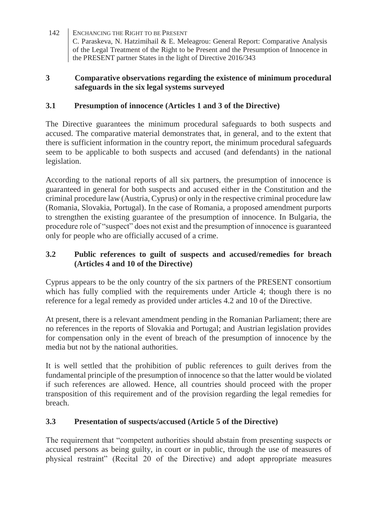#### **3 Comparative observations regarding the existence of minimum procedural safeguards in the six legal systems surveyed**

### **3.1 Presumption of innocence (Articles 1 and 3 of the Directive)**

The Directive guarantees the minimum procedural safeguards to both suspects and accused. The comparative material demonstrates that, in general, and to the extent that there is sufficient information in the country report, the minimum procedural safeguards seem to be applicable to both suspects and accused (and defendants) in the national legislation.

According to the national reports of all six partners, the presumption of innocence is guaranteed in general for both suspects and accused either in the Constitution and the criminal procedure law (Austria, Cyprus) or only in the respective criminal procedure law (Romania, Slovakia, Portugal). In the case of Romania, a proposed amendment purports to strengthen the existing guarantee of the presumption of innocence. In Bulgaria, the procedure role of "suspect" does not exist and the presumption of innocence is guaranteed only for people who are officially accused of a crime.

#### **3.2 Public references to guilt of suspects and accused/remedies for breach (Articles 4 and 10 of the Directive)**

Cyprus appears to be the only country of the six partners of the PRESENT consortium which has fully complied with the requirements under Article 4; though there is no reference for a legal remedy as provided under articles 4.2 and 10 of the Directive.

At present, there is a relevant amendment pending in the Romanian Parliament; there are no references in the reports of Slovakia and Portugal; and Austrian legislation provides for compensation only in the event of breach of the presumption of innocence by the media but not by the national authorities.

It is well settled that the prohibition of public references to guilt derives from the fundamental principle of the presumption of innocence so that the latter would be violated if such references are allowed. Hence, all countries should proceed with the proper transposition of this requirement and of the provision regarding the legal remedies for breach.

#### **3.3 Presentation of suspects/accused (Article 5 of the Directive)**

The requirement that "competent authorities should abstain from presenting suspects or accused persons as being guilty, in court or in public, through the use of measures of physical restraint" (Recital 20 of the Directive) and adopt appropriate measures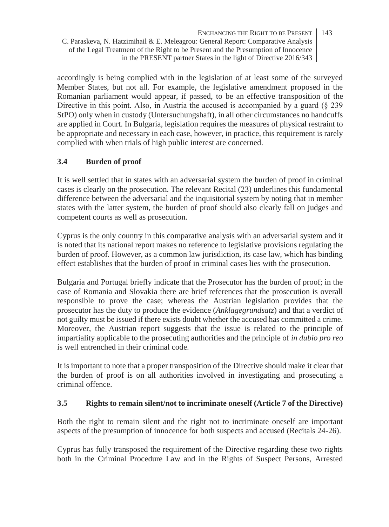accordingly is being complied with in the legislation of at least some of the surveyed Member States, but not all. For example, the legislative amendment proposed in the Romanian parliament would appear, if passed, to be an effective transposition of the Directive in this point. Also, in Austria the accused is accompanied by a guard  $(\xi 239)$ StPO) only when in custody (Untersuchungshaft), in all other circumstances no handcuffs are applied in Court. In Bulgaria, legislation requires the measures of physical restraint to be appropriate and necessary in each case, however, in practice, this requirement is rarely complied with when trials of high public interest are concerned.

### **3.4 Burden of proof**

It is well settled that in states with an adversarial system the burden of proof in criminal cases is clearly on the prosecution. The relevant Recital (23) underlines this fundamental difference between the adversarial and the inquisitorial system by noting that in member states with the latter system, the burden of proof should also clearly fall on judges and competent courts as well as prosecution.

Cyprus is the only country in this comparative analysis with an adversarial system and it is noted that its national report makes no reference to legislative provisions regulating the burden of proof. However, as a common law jurisdiction, its case law, which has binding effect establishes that the burden of proof in criminal cases lies with the prosecution.

Bulgaria and Portugal briefly indicate that the Prosecutor has the burden of proof; in the case of Romania and Slovakia there are brief references that the prosecution is overall responsible to prove the case; whereas the Austrian legislation provides that the prosecutor has the duty to produce the evidence (*Anklagegrundsatz*) and that a verdict of not guilty must be issued if there exists doubt whether the accused has committed a crime. Moreover, the Austrian report suggests that the issue is related to the principle of impartiality applicable to the prosecuting authorities and the principle of *in dubio pro reo* is well entrenched in their criminal code.

It is important to note that a proper transposition of the Directive should make it clear that the burden of proof is on all authorities involved in investigating and prosecuting a criminal offence.

#### **3.5 Rights to remain silent/not to incriminate oneself (Article 7 of the Directive)**

Both the right to remain silent and the right not to incriminate oneself are important aspects of the presumption of innocence for both suspects and accused (Recitals 24-26).

Cyprus has fully transposed the requirement of the Directive regarding these two rights both in the Criminal Procedure Law and in the Rights of Suspect Persons, Arrested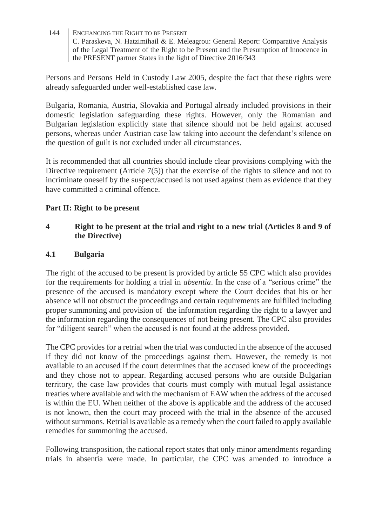Persons and Persons Held in Custody Law 2005, despite the fact that these rights were already safeguarded under well-established case law.

Bulgaria, Romania, Austria, Slovakia and Portugal already included provisions in their domestic legislation safeguarding these rights. However, only the Romanian and Bulgarian legislation explicitly state that silence should not be held against accused persons, whereas under Austrian case law taking into account the defendant's silence on the question of guilt is not excluded under all circumstances.

It is recommended that all countries should include clear provisions complying with the Directive requirement (Article  $7(5)$ ) that the exercise of the rights to silence and not to incriminate oneself by the suspect/accused is not used against them as evidence that they have committed a criminal offence.

#### **Part II: Right to be present**

#### **4 Right to be present at the trial and right to a new trial (Articles 8 and 9 of the Directive)**

#### **4.1 Bulgaria**

The right of the accused to be present is provided by article 55 CPC which also provides for the requirements for holding a trial in *absentia*. In the case of a "serious crime" the presence of the accused is mandatory except where the Court decides that his or her absence will not obstruct the proceedings and certain requirements are fulfilled including proper summoning and provision of the information regarding the right to a lawyer and the information regarding the consequences of not being present. The CPC also provides for "diligent search" when the accused is not found at the address provided.

The CPC provides for a retrial when the trial was conducted in the absence of the accused if they did not know of the proceedings against them. However, the remedy is not available to an accused if the court determines that the accused knew of the proceedings and they chose not to appear. Regarding accused persons who are outside Bulgarian territory, the case law provides that courts must comply with mutual legal assistance treaties where available and with the mechanism of EAW when the address of the accused is within the EU. When neither of the above is applicable and the address of the accused is not known, then the court may proceed with the trial in the absence of the accused without summons. Retrial is available as a remedy when the court failed to apply available remedies for summoning the accused.

Following transposition, the national report states that only minor amendments regarding trials in absentia were made. In particular, the CPC was amended to introduce a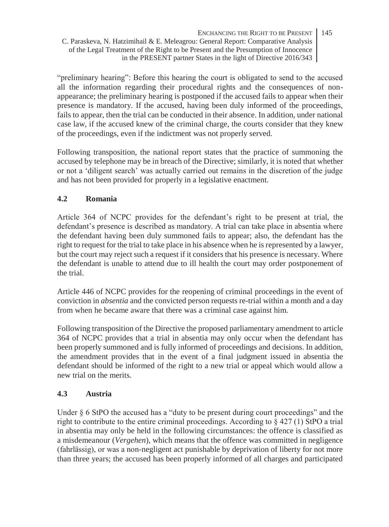"preliminary hearing": Before this hearing the court is obligated to send to the accused all the information regarding their procedural rights and the consequences of nonappearance; the preliminary hearing is postponed if the accused fails to appear when their presence is mandatory. If the accused, having been duly informed of the proceedings, fails to appear, then the trial can be conducted in their absence. In addition, under national case law, if the accused knew of the criminal charge, the courts consider that they knew of the proceedings, even if the indictment was not properly served.

Following transposition, the national report states that the practice of summoning the accused by telephone may be in breach of the Directive; similarly, it is noted that whether or not a 'diligent search' was actually carried out remains in the discretion of the judge and has not been provided for properly in a legislative enactment.

### **4.2 Romania**

Article 364 of NCPC provides for the defendant's right to be present at trial, the defendant's presence is described as mandatory. A trial can take place in absentia where the defendant having been duly summoned fails to appear; also, the defendant has the right to request for the trial to take place in his absence when he is represented by a lawyer, but the court may reject such a request if it considers that his presence is necessary. Where the defendant is unable to attend due to ill health the court may order postponement of the trial.

Article 446 of NCPC provides for the reopening of criminal proceedings in the event of conviction in *absentia* and the convicted person requests re-trial within a month and a day from when he became aware that there was a criminal case against him.

Following transposition of the Directive the proposed parliamentary amendment to article 364 of NCPC provides that a trial in absentia may only occur when the defendant has been properly summoned and is fully informed of proceedings and decisions. In addition, the amendment provides that in the event of a final judgment issued in absentia the defendant should be informed of the right to a new trial or appeal which would allow a new trial on the merits.

#### **4.3 Austria**

Under  $\S$  6 StPO the accused has a "duty to be present during court proceedings" and the right to contribute to the entire criminal proceedings. According to  $\S 427 (1)$  StPO a trial in absentia may only be held in the following circumstances: the offence is classified as a misdemeanour (*Vergehen*), which means that the offence was committed in negligence (fahrlässig), or was a non-negligent act punishable by deprivation of liberty for not more than three years; the accused has been properly informed of all charges and participated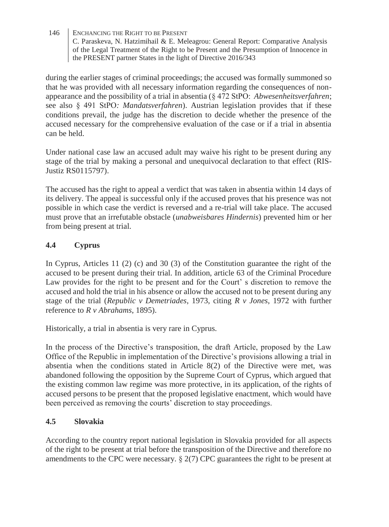during the earlier stages of criminal proceedings; the accused was formally summoned so that he was provided with all necessary information regarding the consequences of nonappearance and the possibility of a trial in absentia (§ 472 StPO: *Abwesenheitsverfahren*; see also § 491 StPO*: Mandatsverfahren*). Austrian legislation provides that if these conditions prevail, the judge has the discretion to decide whether the presence of the accused necessary for the comprehensive evaluation of the case or if a trial in absentia can be held.

Under national case law an accused adult may waive his right to be present during any stage of the trial by making a personal and unequivocal declaration to that effect (RIS-Justiz RS0115797).

The accused has the right to appeal a verdict that was taken in absentia within 14 days of its delivery. The appeal is successful only if the accused proves that his presence was not possible in which case the verdict is reversed and a re-trial will take place. The accused must prove that an irrefutable obstacle (*unabweisbares Hindernis*) prevented him or her from being present at trial.

### **4.4 Cyprus**

In Cyprus, Articles 11 (2) (c) and 30 (3) of the Constitution guarantee the right of the accused to be present during their trial. In addition, article 63 of the Criminal Procedure Law provides for the right to be present and for the Court' s discretion to remove the accused and hold the trial in his absence or allow the accused not to be present during any stage of the trial (*Republic v Demetriades*, 1973, citing *R v Jones*, 1972 with further reference to *R v Abrahams*, 1895).

Historically, a trial in absentia is very rare in Cyprus.

In the process of the Directive's transposition, the draft Article, proposed by the Law Office of the Republic in implementation of the Directive's provisions allowing a trial in absentia when the conditions stated in Article 8(2) of the Directive were met, was abandoned following the opposition by the Supreme Court of Cyprus, which argued that the existing common law regime was more protective, in its application, of the rights of accused persons to be present that the proposed legislative enactment, which would have been perceived as removing the courts' discretion to stay proceedings.

#### **4.5 Slovakia**

According to the country report national legislation in Slovakia provided for all aspects of the right to be present at trial before the transposition of the Directive and therefore no amendments to the CPC were necessary.  $\S 2(7)$  CPC guarantees the right to be present at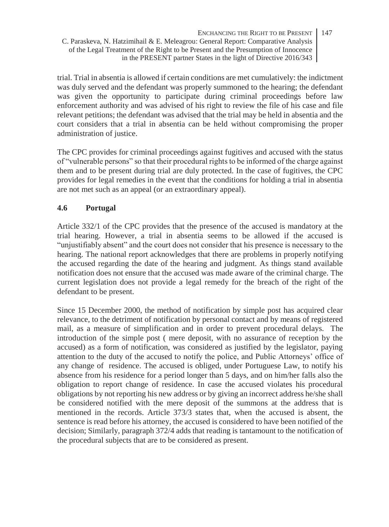trial. Trial in absentia is allowed if certain conditions are met cumulatively: the indictment was duly served and the defendant was properly summoned to the hearing; the defendant was given the opportunity to participate during criminal proceedings before law enforcement authority and was advised of his right to review the file of his case and file relevant petitions; the defendant was advised that the trial may be held in absentia and the court considers that a trial in absentia can be held without compromising the proper administration of justice.

The CPC provides for criminal proceedings against fugitives and accused with the status of "vulnerable persons" so that their procedural rights to be informed of the charge against them and to be present during trial are duly protected. In the case of fugitives, the CPC provides for legal remedies in the event that the conditions for holding a trial in absentia are not met such as an appeal (or an extraordinary appeal).

### **4.6 Portugal**

Article 332/1 of the CPC provides that the presence of the accused is mandatory at the trial hearing. However, a trial in absentia seems to be allowed if the accused is "unjustifiably absent" and the court does not consider that his presence is necessary to the hearing. The national report acknowledges that there are problems in properly notifying the accused regarding the date of the hearing and judgment. As things stand available notification does not ensure that the accused was made aware of the criminal charge. The current legislation does not provide a legal remedy for the breach of the right of the defendant to be present.

Since 15 December 2000, the method of notification by simple post has acquired clear relevance, to the detriment of notification by personal contact and by means of registered mail, as a measure of simplification and in order to prevent procedural delays. The introduction of the simple post ( mere deposit, with no assurance of reception by the accused) as a form of notification, was considered as justified by the legislator, paying attention to the duty of the accused to notify the police, and Public Attorneys' office of any change of residence. The accused is obliged, under Portuguese Law, to notify his absence from his residence for a period longer than 5 days, and on him/her falls also the obligation to report change of residence. In case the accused violates his procedural obligations by not reporting his new address or by giving an incorrect address he/she shall be considered notified with the mere deposit of the summons at the address that is mentioned in the records. Article 373/3 states that, when the accused is absent, the sentence is read before his attorney, the accused is considered to have been notified of the decision; Similarly, paragraph 372/4 adds that reading is tantamount to the notification of the procedural subjects that are to be considered as present.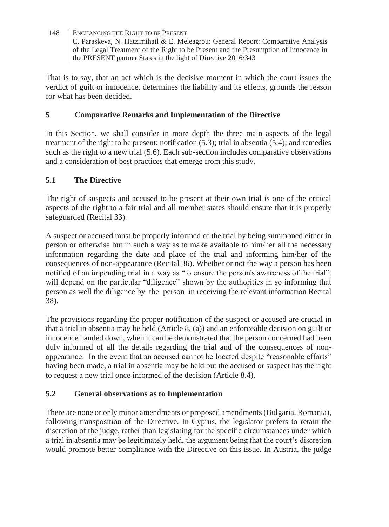That is to say, that an act which is the decisive moment in which the court issues the verdict of guilt or innocence, determines the liability and its effects, grounds the reason for what has been decided.

### **5 Comparative Remarks and Implementation of the Directive**

In this Section, we shall consider in more depth the three main aspects of the legal treatment of the right to be present: notification (5.3); trial in absentia (5.4); and remedies such as the right to a new trial (5.6). Each sub-section includes comparative observations and a consideration of best practices that emerge from this study.

### **5.1 The Directive**

The right of suspects and accused to be present at their own trial is one of the critical aspects of the right to a fair trial and all member states should ensure that it is properly safeguarded (Recital 33).

A suspect or accused must be properly informed of the trial by being summoned either in person or otherwise but in such a way as to make available to him/her all the necessary information regarding the date and place of the trial and informing him/her of the consequences of non-appearance (Recital 36). Whether or not the way a person has been notified of an impending trial in a way as "to ensure the person's awareness of the trial", will depend on the particular "diligence" shown by the authorities in so informing that person as well the diligence by the person in receiving the relevant information Recital 38).

The provisions regarding the proper notification of the suspect or accused are crucial in that a trial in absentia may be held (Article 8. (a)) and an enforceable decision on guilt or innocence handed down, when it can be demonstrated that the person concerned had been duly informed of all the details regarding the trial and of the consequences of nonappearance. In the event that an accused cannot be located despite "reasonable efforts" having been made, a trial in absentia may be held but the accused or suspect has the right to request a new trial once informed of the decision (Article 8.4).

### **5.2 General observations as to Implementation**

There are none or only minor amendments or proposed amendments (Bulgaria, Romania), following transposition of the Directive. In Cyprus, the legislator prefers to retain the discretion of the judge, rather than legislating for the specific circumstances under which a trial in absentia may be legitimately held, the argument being that the court's discretion would promote better compliance with the Directive on this issue. In Austria, the judge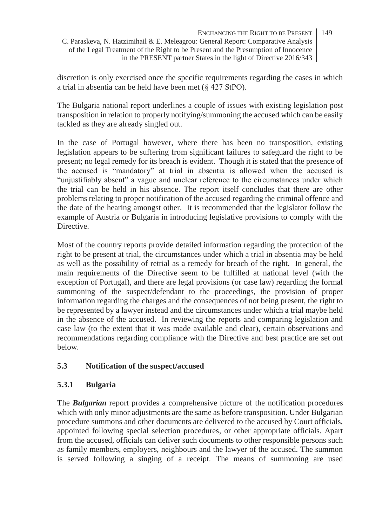discretion is only exercised once the specific requirements regarding the cases in which a trial in absentia can be held have been met (§ 427 StPO).

The Bulgaria national report underlines a couple of issues with existing legislation post transposition in relation to properly notifying/summoning the accused which can be easily tackled as they are already singled out.

In the case of Portugal however, where there has been no transposition, existing legislation appears to be suffering from significant failures to safeguard the right to be present; no legal remedy for its breach is evident. Though it is stated that the presence of the accused is "mandatory" at trial in absentia is allowed when the accused is "unjustifiably absent" a vague and unclear reference to the circumstances under which the trial can be held in his absence. The report itself concludes that there are other problems relating to proper notification of the accused regarding the criminal offence and the date of the hearing amongst other. It is recommended that the legislator follow the example of Austria or Bulgaria in introducing legislative provisions to comply with the **Directive** 

Most of the country reports provide detailed information regarding the protection of the right to be present at trial, the circumstances under which a trial in absentia may be held as well as the possibility of retrial as a remedy for breach of the right. In general, the main requirements of the Directive seem to be fulfilled at national level (with the exception of Portugal), and there are legal provisions (or case law) regarding the formal summoning of the suspect/defendant to the proceedings, the provision of proper information regarding the charges and the consequences of not being present, the right to be represented by a lawyer instead and the circumstances under which a trial maybe held in the absence of the accused. In reviewing the reports and comparing legislation and case law (to the extent that it was made available and clear), certain observations and recommendations regarding compliance with the Directive and best practice are set out below.

#### **5.3 Notification of the suspect/accused**

#### **5.3.1 Bulgaria**

The *Bulgarian* report provides a comprehensive picture of the notification procedures which with only minor adjustments are the same as before transposition. Under Bulgarian procedure summons and other documents are delivered to the accused by Court officials, appointed following special selection procedures, or other appropriate officials. Apart from the accused, officials can deliver such documents to other responsible persons such as family members, employers, neighbours and the lawyer of the accused. The summon is served following a singing of a receipt. The means of summoning are used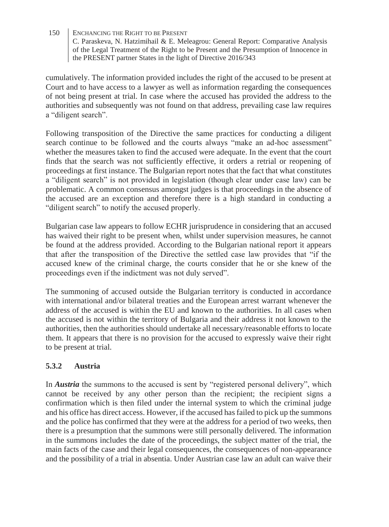cumulatively. The information provided includes the right of the accused to be present at Court and to have access to a lawyer as well as information regarding the consequences of not being present at trial. In case where the accused has provided the address to the authorities and subsequently was not found on that address, prevailing case law requires a "diligent search".

Following transposition of the Directive the same practices for conducting a diligent search continue to be followed and the courts always "make an ad-hoc assessment" whether the measures taken to find the accused were adequate. In the event that the court finds that the search was not sufficiently effective, it orders a retrial or reopening of proceedings at first instance. The Bulgarian report notes that the fact that what constitutes a "diligent search" is not provided in legislation (though clear under case law) can be problematic. A common consensus amongst judges is that proceedings in the absence of the accused are an exception and therefore there is a high standard in conducting a "diligent search" to notify the accused properly.

Bulgarian case law appears to follow ECHR jurisprudence in considering that an accused has waived their right to be present when, whilst under supervision measures, he cannot be found at the address provided. According to the Bulgarian national report it appears that after the transposition of the Directive the settled case law provides that "if the accused knew of the criminal charge, the courts consider that he or she knew of the proceedings even if the indictment was not duly served".

The summoning of accused outside the Bulgarian territory is conducted in accordance with international and/or bilateral treaties and the European arrest warrant whenever the address of the accused is within the EU and known to the authorities. In all cases when the accused is not within the territory of Bulgaria and their address it not known to the authorities, then the authorities should undertake all necessary/reasonable efforts to locate them. It appears that there is no provision for the accused to expressly waive their right to be present at trial.

### **5.3.2 Austria**

In *Austria* the summons to the accused is sent by "registered personal delivery", which cannot be received by any other person than the recipient; the recipient signs a confirmation which is then filed under the internal system to which the criminal judge and his office has direct access. However, if the accused has failed to pick up the summons and the police has confirmed that they were at the address for a period of two weeks, then there is a presumption that the summons were still personally delivered. The information in the summons includes the date of the proceedings, the subject matter of the trial, the main facts of the case and their legal consequences, the consequences of non-appearance and the possibility of a trial in absentia. Under Austrian case law an adult can waive their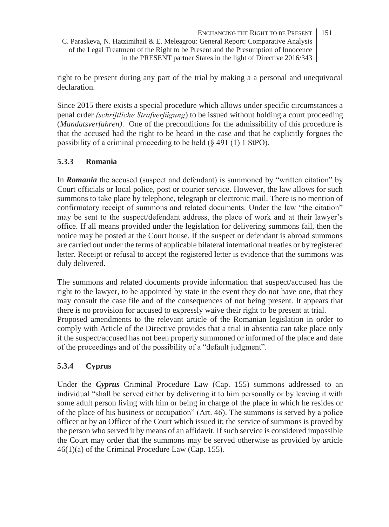right to be present during any part of the trial by making a a personal and unequivocal declaration.

Since 2015 there exists a special procedure which allows under specific circumstances a penal order *(schriftliche Strafverfügung*) to be issued without holding a court proceeding (*Mandatsverfahren)*. One of the preconditions for the admissibility of this procedure is that the accused had the right to be heard in the case and that he explicitly forgoes the possibility of a criminal proceeding to be held (§ 491 (1) 1 StPO).

### **5.3.3 Romania**

In *Romania* the accused (suspect and defendant) is summoned by "written citation" by Court officials or local police, post or courier service. However, the law allows for such summons to take place by telephone, telegraph or electronic mail. There is no mention of confirmatory receipt of summons and related documents. Under the law "the citation" may be sent to the suspect/defendant address, the place of work and at their lawyer's office. If all means provided under the legislation for delivering summons fail, then the notice may be posted at the Court house. If the suspect or defendant is abroad summons are carried out under the terms of applicable bilateral international treaties or by registered letter. Receipt or refusal to accept the registered letter is evidence that the summons was duly delivered.

The summons and related documents provide information that suspect/accused has the right to the lawyer, to be appointed by state in the event they do not have one, that they may consult the case file and of the consequences of not being present. It appears that there is no provision for accused to expressly waive their right to be present at trial. Proposed amendments to the relevant article of the Romanian legislation in order to comply with Article of the Directive provides that a trial in absentia can take place only if the suspect/accused has not been properly summoned or informed of the place and date of the proceedings and of the possibility of a "default judgment".

### **5.3.4 Cyprus**

Under the *Cyprus* Criminal Procedure Law (Cap. 155) summons addressed to an individual "shall be served either by delivering it to him personally or by leaving it with some adult person living with him or being in charge of the place in which he resides or of the place of his business or occupation" (Art. 46). The summons is served by a police officer or by an Officer of the Court which issued it; the service of summons is proved by the person who served it by means of an affidavit. If such service is considered impossible the Court may order that the summons may be served otherwise as provided by article 46(1)(a) of the Criminal Procedure Law (Cap. 155).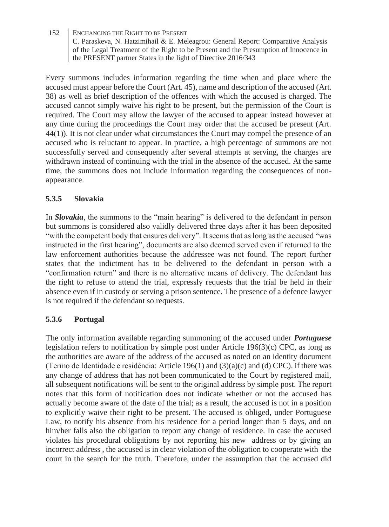Every summons includes information regarding the time when and place where the accused must appear before the Court (Art. 45), name and description of the accused (Art. 38) as well as brief description of the offences with which the accused is charged. The accused cannot simply waive his right to be present, but the permission of the Court is required. The Court may allow the lawyer of the accused to appear instead however at any time during the proceedings the Court may order that the accused be present (Art. 44(1)). It is not clear under what circumstances the Court may compel the presence of an accused who is reluctant to appear. In practice, a high percentage of summons are not successfully served and consequently after several attempts at serving, the charges are withdrawn instead of continuing with the trial in the absence of the accused. At the same time, the summons does not include information regarding the consequences of nonappearance.

### **5.3.5 Slovakia**

In *Slovakia*, the summons to the "main hearing" is delivered to the defendant in person but summons is considered also validly delivered three days after it has been deposited "with the competent body that ensures delivery". It seems that as long as the accused "was instructed in the first hearing", documents are also deemed served even if returned to the law enforcement authorities because the addressee was not found. The report further states that the indictment has to be delivered to the defendant in person with a "confirmation return" and there is no alternative means of delivery. The defendant has the right to refuse to attend the trial, expressly requests that the trial be held in their absence even if in custody or serving a prison sentence. The presence of a defence lawyer is not required if the defendant so requests.

#### **5.3.6 Portugal**

The only information available regarding summoning of the accused under *Portuguese* legislation refers to notification by simple post under Article 196(3)(c) CPC, as long as the authorities are aware of the address of the accused as noted on an identity document (Termo de Identidade e residência: Article 196(1) and  $(3)(a)(c)$  and  $(d)$  CPC). if there was any change of address that has not been communicated to the Court by registered mail, all subsequent notifications will be sent to the original address by simple post. The report notes that this form of notification does not indicate whether or not the accused has actually become aware of the date of the trial; as a result, the accused is not in a position to explicitly waive their right to be present. The accused is obliged, under Portuguese Law, to notify his absence from his residence for a period longer than 5 days, and on him/her falls also the obligation to report any change of residence. In case the accused violates his procedural obligations by not reporting his new address or by giving an incorrect address , the accused is in clear violation of the obligation to cooperate with the court in the search for the truth. Therefore, under the assumption that the accused did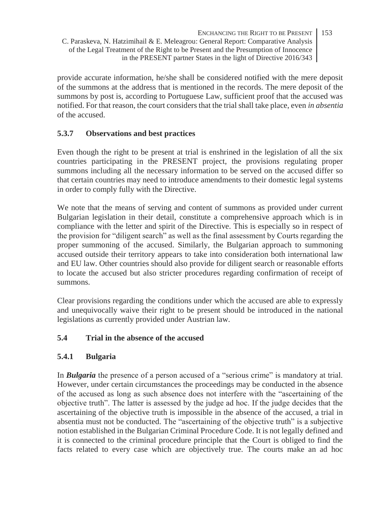provide accurate information, he/she shall be considered notified with the mere deposit of the summons at the address that is mentioned in the records. The mere deposit of the summons by post is, according to Portuguese Law, sufficient proof that the accused was notified. For that reason, the court considers that the trial shall take place, even *in absentia* of the accused.

### **5.3.7 Observations and best practices**

Even though the right to be present at trial is enshrined in the legislation of all the six countries participating in the PRESENT project, the provisions regulating proper summons including all the necessary information to be served on the accused differ so that certain countries may need to introduce amendments to their domestic legal systems in order to comply fully with the Directive.

We note that the means of serving and content of summons as provided under current Bulgarian legislation in their detail, constitute a comprehensive approach which is in compliance with the letter and spirit of the Directive. This is especially so in respect of the provision for "diligent search" as well as the final assessment by Courts regarding the proper summoning of the accused. Similarly, the Bulgarian approach to summoning accused outside their territory appears to take into consideration both international law and EU law. Other countries should also provide for diligent search or reasonable efforts to locate the accused but also stricter procedures regarding confirmation of receipt of summons.

Clear provisions regarding the conditions under which the accused are able to expressly and unequivocally waive their right to be present should be introduced in the national legislations as currently provided under Austrian law.

### **5.4 Trial in the absence of the accused**

#### **5.4.1 Bulgaria**

In *Bulgaria* the presence of a person accused of a "serious crime" is mandatory at trial. However, under certain circumstances the proceedings may be conducted in the absence of the accused as long as such absence does not interfere with the "ascertaining of the objective truth". The latter is assessed by the judge ad hoc. If the judge decides that the ascertaining of the objective truth is impossible in the absence of the accused, a trial in absentia must not be conducted. The "ascertaining of the objective truth" is a subjective notion established in the Bulgarian Criminal Procedure Code. It is not legally defined and it is connected to the criminal procedure principle that the Court is obliged to find the facts related to every case which are objectively true. The courts make an ad hoc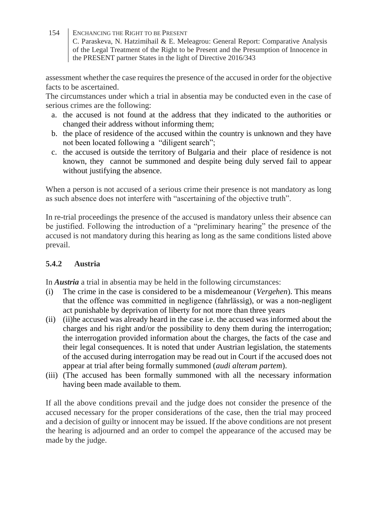154 ENCHANCING THE RIGHT TO BE PRESENT

C. Paraskeva, N. Hatzimihail & E. Meleagrou: General Report: Comparative Analysis of the Legal Treatment of the Right to be Present and the Presumption of Innocence in the PRESENT partner States in the light of Directive 2016/343

assessment whether the case requires the presence of the accused in order for the objective facts to be ascertained.

The circumstances under which a trial in absentia may be conducted even in the case of serious crimes are the following:

- a. the accused is not found at the address that they indicated to the authorities or changed their address without informing them;
- b. the place of residence of the accused within the country is unknown and they have not been located following a "diligent search";
- c. the accused is outside the territory of Bulgaria and their place of residence is not known, they cannot be summoned and despite being duly served fail to appear without justifying the absence.

When a person is not accused of a serious crime their presence is not mandatory as long as such absence does not interfere with "ascertaining of the objective truth".

In re-trial proceedings the presence of the accused is mandatory unless their absence can be justified. Following the introduction of a "preliminary hearing" the presence of the accused is not mandatory during this hearing as long as the same conditions listed above prevail.

#### **5.4.2 Austria**

In *Austria* a trial in absentia may be held in the following circumstances:

- (i) The crime in the case is considered to be a misdemeanour (*Vergehen*). This means that the offence was committed in negligence (fahrlässig), or was a non-negligent act punishable by deprivation of liberty for not more than three years
- (ii) (ii)he accused was already heard in the case i.e. the accused was informed about the charges and his right and/or the possibility to deny them during the interrogation; the interrogation provided information about the charges, the facts of the case and their legal consequences. It is noted that under Austrian legislation, the statements of the accused during interrogation may be read out in Court if the accused does not appear at trial after being formally summoned (*audi alteram partem*).
- (iii) (The accused has been formally summoned with all the necessary information having been made available to them.

If all the above conditions prevail and the judge does not consider the presence of the accused necessary for the proper considerations of the case, then the trial may proceed and a decision of guilty or innocent may be issued. If the above conditions are not present the hearing is adjourned and an order to compel the appearance of the accused may be made by the judge.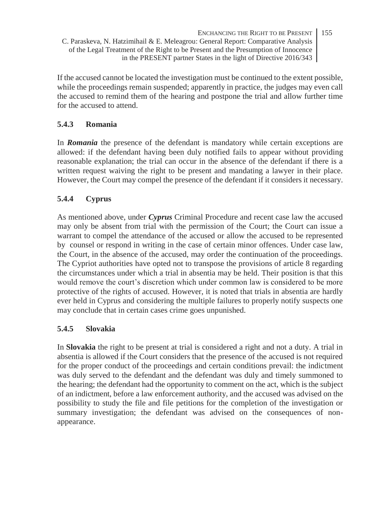If the accused cannot be located the investigation must be continued to the extent possible, while the proceedings remain suspended; apparently in practice, the judges may even call the accused to remind them of the hearing and postpone the trial and allow further time for the accused to attend.

### **5.4.3 Romania**

In *Romania* the presence of the defendant is mandatory while certain exceptions are allowed: if the defendant having been duly notified fails to appear without providing reasonable explanation; the trial can occur in the absence of the defendant if there is a written request waiving the right to be present and mandating a lawyer in their place. However, the Court may compel the presence of the defendant if it considers it necessary.

### **5.4.4 Cyprus**

As mentioned above, under *Cyprus* Criminal Procedure and recent case law the accused may only be absent from trial with the permission of the Court; the Court can issue a warrant to compel the attendance of the accused or allow the accused to be represented by counsel or respond in writing in the case of certain minor offences. Under case law, the Court, in the absence of the accused, may order the continuation of the proceedings. The Cypriot authorities have opted not to transpose the provisions of article 8 regarding the circumstances under which a trial in absentia may be held. Their position is that this would remove the court's discretion which under common law is considered to be more protective of the rights of accused. However, it is noted that trials in absentia are hardly ever held in Cyprus and considering the multiple failures to properly notify suspects one may conclude that in certain cases crime goes unpunished.

#### **5.4.5 Slovakia**

In **Slovakia** the right to be present at trial is considered a right and not a duty. A trial in absentia is allowed if the Court considers that the presence of the accused is not required for the proper conduct of the proceedings and certain conditions prevail: the indictment was duly served to the defendant and the defendant was duly and timely summoned to the hearing; the defendant had the opportunity to comment on the act, which is the subject of an indictment, before a law enforcement authority, and the accused was advised on the possibility to study the file and file petitions for the completion of the investigation or summary investigation; the defendant was advised on the consequences of nonappearance.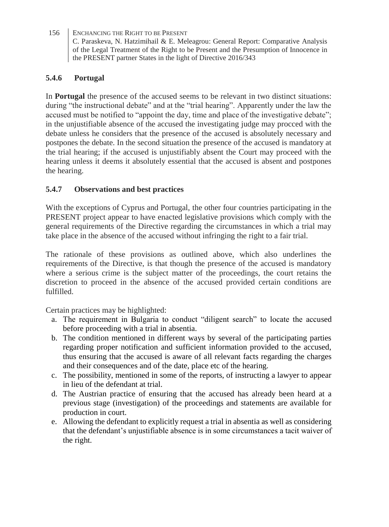# **5.4.6 Portugal**

In **Portugal** the presence of the accused seems to be relevant in two distinct situations: during "the instructional debate" and at the "trial hearing". Apparently under the law the accused must be notified to "appoint the day, time and place of the investigative debate"; in the unjustifiable absence of the accused the investigating judge may procced with the debate unless he considers that the presence of the accused is absolutely necessary and postpones the debate. In the second situation the presence of the accused is mandatory at the trial hearing; if the accused is unjustifiably absent the Court may proceed with the hearing unless it deems it absolutely essential that the accused is absent and postpones the hearing.

### **5.4.7 Observations and best practices**

With the exceptions of Cyprus and Portugal, the other four countries participating in the PRESENT project appear to have enacted legislative provisions which comply with the general requirements of the Directive regarding the circumstances in which a trial may take place in the absence of the accused without infringing the right to a fair trial.

The rationale of these provisions as outlined above, which also underlines the requirements of the Directive, is that though the presence of the accused is mandatory where a serious crime is the subject matter of the proceedings, the court retains the discretion to proceed in the absence of the accused provided certain conditions are fulfilled.

Certain practices may be highlighted:

- a. The requirement in Bulgaria to conduct "diligent search" to locate the accused before proceeding with a trial in absentia.
- b. The condition mentioned in different ways by several of the participating parties regarding proper notification and sufficient information provided to the accused, thus ensuring that the accused is aware of all relevant facts regarding the charges and their consequences and of the date, place etc of the hearing.
- c. The possibility, mentioned in some of the reports, of instructing a lawyer to appear in lieu of the defendant at trial.
- d. The Austrian practice of ensuring that the accused has already been heard at a previous stage (investigation) of the proceedings and statements are available for production in court.
- e. Allowing the defendant to explicitly request a trial in absentia as well as considering that the defendant's unjustifiable absence is in some circumstances a tacit waiver of the right.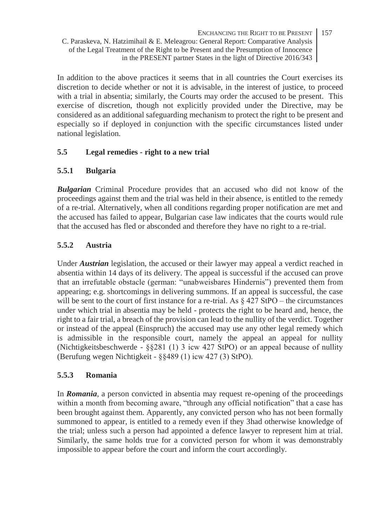In addition to the above practices it seems that in all countries the Court exercises its discretion to decide whether or not it is advisable, in the interest of justice, to proceed with a trial in absentia; similarly, the Courts may order the accused to be present. This exercise of discretion, though not explicitly provided under the Directive, may be considered as an additional safeguarding mechanism to protect the right to be present and especially so if deployed in conjunction with the specific circumstances listed under national legislation.

#### **5.5 Legal remedies - right to a new trial**

### **5.5.1 Bulgaria**

*Bulgarian* Criminal Procedure provides that an accused who did not know of the proceedings against them and the trial was held in their absence, is entitled to the remedy of a re-trial. Alternatively, when all conditions regarding proper notification are met and the accused has failed to appear, Bulgarian case law indicates that the courts would rule that the accused has fled or absconded and therefore they have no right to a re-trial.

### **5.5.2 Austria**

Under *Austrian* legislation, the accused or their lawyer may appeal a verdict reached in absentia within 14 days of its delivery. The appeal is successful if the accused can prove that an irrefutable obstacle (german: "unabweisbares Hindernis") prevented them from appearing; e.g. shortcomings in delivering summons. If an appeal is successful, the case will be sent to the court of first instance for a re-trial. As  $\S 427$  StPO – the circumstances under which trial in absentia may be held - protects the right to be heard and, hence, the right to a fair trial, a breach of the provision can lead to the nullity of the verdict. Together or instead of the appeal (Einspruch) the accused may use any other legal remedy which is admissible in the responsible court, namely the appeal an appeal for nullity (Nichtigkeitsbeschwerde - §§281 (1) 3 icw 427 StPO) or an appeal because of nullity (Berufung wegen Nichtigkeit - §§489 (1) icw 427 (3) StPO).

#### **5.5.3 Romania**

In *Romania*, a person convicted in absentia may request re-opening of the proceedings within a month from becoming aware, "through any official notification" that a case has been brought against them. Apparently, any convicted person who has not been formally summoned to appear, is entitled to a remedy even if they 3had otherwise knowledge of the trial; unless such a person had appointed a defence lawyer to represent him at trial. Similarly, the same holds true for a convicted person for whom it was demonstrably impossible to appear before the court and inform the court accordingly.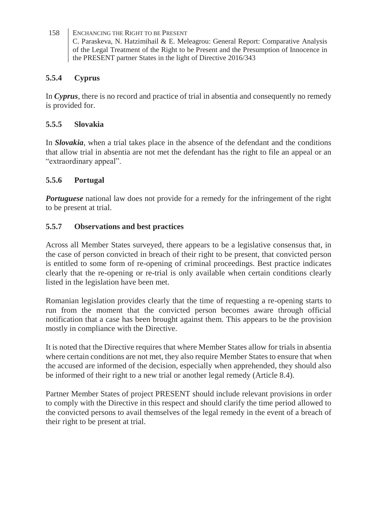### **5.5.4 Cyprus**

In *Cyprus*, there is no record and practice of trial in absentia and consequently no remedy is provided for.

### **5.5.5 Slovakia**

In *Slovakia*, when a trial takes place in the absence of the defendant and the conditions that allow trial in absentia are not met the defendant has the right to file an appeal or an "extraordinary appeal".

# **5.5.6 Portugal**

*Portuguese* national law does not provide for a remedy for the infringement of the right to be present at trial.

# **5.5.7 Observations and best practices**

Across all Member States surveyed, there appears to be a legislative consensus that, in the case of person convicted in breach of their right to be present, that convicted person is entitled to some form of re-opening of criminal proceedings. Best practice indicates clearly that the re-opening or re-trial is only available when certain conditions clearly listed in the legislation have been met.

Romanian legislation provides clearly that the time of requesting a re-opening starts to run from the moment that the convicted person becomes aware through official notification that a case has been brought against them. This appears to be the provision mostly in compliance with the Directive.

It is noted that the Directive requires that where Member States allow for trials in absentia where certain conditions are not met, they also require Member States to ensure that when the accused are informed of the decision, especially when apprehended, they should also be informed of their right to a new trial or another legal remedy (Article 8.4).

Partner Member States of project PRESENT should include relevant provisions in order to comply with the Directive in this respect and should clarify the time period allowed to the convicted persons to avail themselves of the legal remedy in the event of a breach of their right to be present at trial.